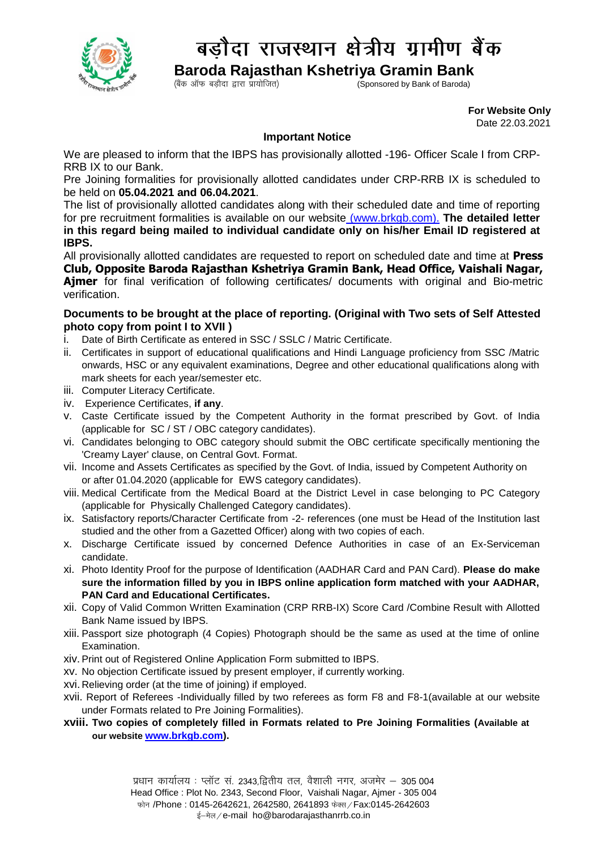

## बडौदा राजस्थान क्षेत्रीय ग्रामीण बैंक

 **Baroda Rajasthan Kshetriya Gramin Bank**

 $\zeta$ Coonsored by Bank of Baroda)

 **For Website Only**  Date 22.03.2021

## **Important Notice**

We are pleased to inform that the IBPS has provisionally allotted -196- Officer Scale I from CRP-RRB IX to our Bank.

Pre Joining formalities for provisionally allotted candidates under CRP-RRB IX is scheduled to be held on **05.04.2021 and 06.04.2021**.

The list of provisionally allotted candidates along with their scheduled date and time of reporting for pre recruitment formalities is available on our website [\(www.brkgb.com\)](http://www.brkgb.com/). **The detailed letter in this regard being mailed to individual candidate only on his/her Email ID registered at IBPS.**

All provisionally allotted candidates are requested to report on scheduled date and time at **Press Club, Opposite Baroda Rajasthan Kshetriya Gramin Bank, Head Office, Vaishali Nagar, Ajmer** for final verification of following certificates/ documents with original and Bio-metric verification.

## **Documents to be brought at the place of reporting. (Original with Two sets of Self Attested photo copy from point I to XVII )**

- i. Date of Birth Certificate as entered in SSC / SSLC / Matric Certificate.
- ii. Certificates in support of educational qualifications and Hindi Language proficiency from SSC /Matric onwards, HSC or any equivalent examinations, Degree and other educational qualifications along with mark sheets for each year/semester etc.
- iii. Computer Literacy Certificate.
- iv. Experience Certificates, **if any**.
- v. Caste Certificate issued by the Competent Authority in the format prescribed by Govt. of India (applicable for SC / ST / OBC category candidates).
- vi. Candidates belonging to OBC category should submit the OBC certificate specifically mentioning the 'Creamy Layer' clause, on Central Govt. Format.
- vii. Income and Assets Certificates as specified by the Govt. of India, issued by Competent Authority on or after 01.04.2020 (applicable for EWS category candidates).
- viii. Medical Certificate from the Medical Board at the District Level in case belonging to PC Category (applicable for Physically Challenged Category candidates).
- ix. Satisfactory reports/Character Certificate from -2- references (one must be Head of the Institution last studied and the other from a Gazetted Officer) along with two copies of each.
- x. Discharge Certificate issued by concerned Defence Authorities in case of an Ex-Serviceman candidate.
- xi. Photo Identity Proof for the purpose of Identification (AADHAR Card and PAN Card). **Please do make sure the information filled by you in IBPS online application form matched with your AADHAR, PAN Card and Educational Certificates.**
- xii. Copy of Valid Common Written Examination (CRP RRB-IX) Score Card /Combine Result with Allotted Bank Name issued by IBPS.
- xiii. Passport size photograph (4 Copies) Photograph should be the same as used at the time of online Examination.
- xiv.Print out of Registered Online Application Form submitted to IBPS.
- xv. No objection Certificate issued by present employer, if currently working.
- xvi. Relieving order (at the time of joining) if employed.
- xvii. Report of Referees -Individually filled by two referees as form F8 and F8-1(available at our website under Formats related to Pre Joining Formalities).
- **xviii. Two copies of completely filled in Formats related to Pre Joining Formalities (Available at our website [www.brkgb.com\)](www.brkgb.com).**